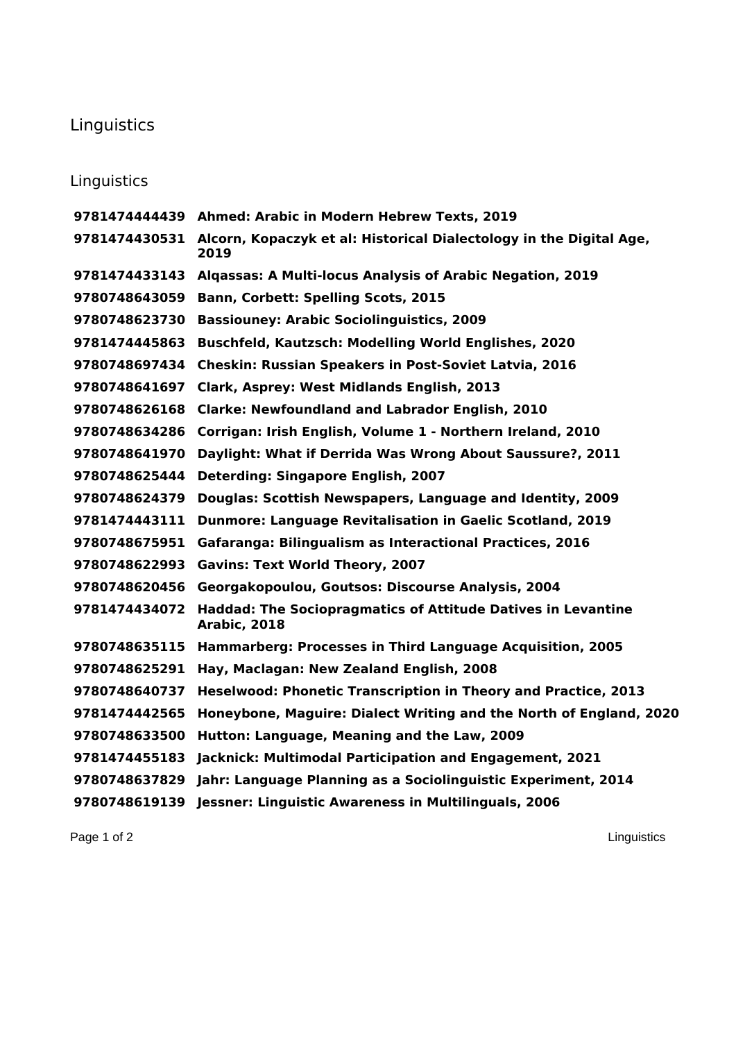## Linguistics

## Linguistics

|               | 9781474444439 Ahmed: Arabic in Modern Hebrew Texts, 2019                            |
|---------------|-------------------------------------------------------------------------------------|
| 9781474430531 | Alcorn, Kopaczyk et al: Historical Dialectology in the Digital Age,<br>2019         |
| 9781474433143 | Algassas: A Multi-locus Analysis of Arabic Negation, 2019                           |
| 9780748643059 | <b>Bann, Corbett: Spelling Scots, 2015</b>                                          |
| 9780748623730 | <b>Bassiouney: Arabic Sociolinguistics, 2009</b>                                    |
| 9781474445863 | <b>Buschfeld, Kautzsch: Modelling World Englishes, 2020</b>                         |
| 9780748697434 | <b>Cheskin: Russian Speakers in Post-Soviet Latvia, 2016</b>                        |
| 9780748641697 | Clark, Asprey: West Midlands English, 2013                                          |
| 9780748626168 | <b>Clarke: Newfoundland and Labrador English, 2010</b>                              |
| 9780748634286 | Corrigan: Irish English, Volume 1 - Northern Ireland, 2010                          |
| 9780748641970 | Daylight: What if Derrida Was Wrong About Saussure?, 2011                           |
| 9780748625444 | <b>Deterding: Singapore English, 2007</b>                                           |
| 9780748624379 | Douglas: Scottish Newspapers, Language and Identity, 2009                           |
| 9781474443111 | <b>Dunmore: Language Revitalisation in Gaelic Scotland, 2019</b>                    |
| 9780748675951 | Gafaranga: Bilingualism as Interactional Practices, 2016                            |
| 9780748622993 | <b>Gavins: Text World Theory, 2007</b>                                              |
| 9780748620456 | Georgakopoulou, Goutsos: Discourse Analysis, 2004                                   |
| 9781474434072 | <b>Haddad: The Sociopragmatics of Attitude Datives in Levantine</b><br>Arabic, 2018 |
| 9780748635115 | Hammarberg: Processes in Third Language Acquisition, 2005                           |
| 9780748625291 | Hay, Maclagan: New Zealand English, 2008                                            |
| 9780748640737 | Heselwood: Phonetic Transcription in Theory and Practice, 2013                      |
| 9781474442565 | Honeybone, Maguire: Dialect Writing and the North of England, 2020                  |
| 9780748633500 | Hutton: Language, Meaning and the Law, 2009                                         |
| 9781474455183 | Jacknick: Multimodal Participation and Engagement, 2021                             |
| 9780748637829 | Jahr: Language Planning as a Sociolinguistic Experiment, 2014                       |
| 9780748619139 | Jessner: Linguistic Awareness in Multilinguals, 2006                                |

Page 1 of 2 Linguistics